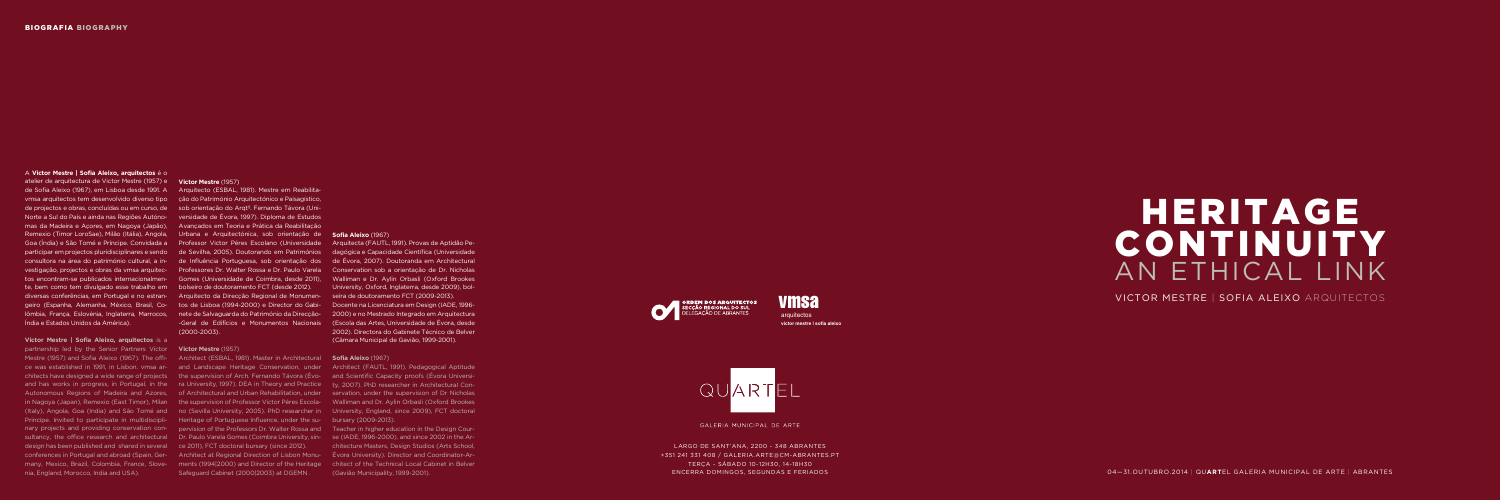## HERITAGE CONTINUITY AN ETHICAL LINK

VICTOR MESTRE | SOFIA ALEIXO ARQUITECTOS

LARGO DE SANT'ANA, 2200 - 348 ABRANTES +351 241 331 408 / GALERIA.ARTE@CM-ABRANTES.PT TERÇA - SÁBADO 10-12H30, 14-18H30

ENCERRA DOMINGOS, SEGUNDAS E FERIADOS 04—31.OUTUBRO.2014 | QU**ART**EL GALERIA MUNICIPAL DE ARTE | ABRANTES

A **Victor Mestre | Sofia Aleixo, arquitectos** é o

atelier de arquitectura de Victor Mestre (1957) e **Victor Mestre** (1957) te, bem como tem divulgado esse trabalho em bolseiro de doutoramento FCT (desde 2012). Índia e Estados Unidos da América).

## **Victor Mestre | Sofia Aleixo, arquitectos** is a

de Sofia Aleixo (1967), em Lisboa desde 1991. A Arquitecto (ESBAL, 1981). Mestre em Reabilitavmsa arquitectos tem desenvolvido diverso tipo ção do Património Arquitectónico e Paisagístico, de projectos e obras, concluídas ou em curso, de sob orientação do Arqtº. Fernando Távora (Uni-Norte a Sul do País e ainda nas Regiões Autóno-versidade de Évora, 1997). Diploma de Estudos mas da Madeira e Açores, em Nagoya (Japão), Avançados em Teoria e Prática da Reabilitação Remexio (Timor LoroSae), Milão (Itália), Angola, Urbana e Arquitectónica, sob orientação de **Sofia Aleixo** (1967) Goa (Índia) e São Tomé e Príncipe. Convidada a Professor Victor Péres Escolano (Universidade Arquitecta (FAUTL, 1991). Provas de Aptidão Peparticipar em projectos pluridisciplinares e sendo de Sevilha, 2005). Doutorando em Patrimónios dagógica e Capacidade Científica (Universidade consultora na área do património cultural, a in-de Influência Portuguesa, sob orientação dos de Évora, 2007). Doutoranda em Architectural vestigação, projectos e obras da vmsa arquitec- Professores Dr. Walter Rossa e Dr. Paulo Varela Conservation sob a orientação de Dr. Nicholas tos encontram-se publicados internacionalmen-Gomes (Universidade de Coimbra, desde 2011), Walliman e Dr. Aylin Orbasli (Oxford Brookes diversas conferências, em Portugal e no estran-Arquitecto da Direcção Regional de Monumen-seira de doutoramento FCT (2009-2013). geiro (Espanha, Alemanha, México, Brasil, Co-tos de Lisboa (1994-2000) e Director do Gabi-Docente na Licenciatura em Design (IADE, 1996 lômbia, França, Eslovénia, Inglaterra, Marrocos, nete de Salvaguarda do Património da Direcção-2000) e no Mestrado Integrado em Arquitectura -Geral de Edifícios e Monumentos Nacionais (Escola das Artes, Universidade de Évora, desde (2000-2003).

partnership led by the Senior Partners Victor **Victor Mestre** (1957) Mestre (1957) and Sofia Aleixo (1967). The offi- Architect (ESBAL, 1981). Master in Architectural **Sofia Aleixo** (1967) ce was established in 1991, in Lisbon. vmsa ar- and Landscape Heritage Conservation, under Architect (FAUTL, 1991). Pedagogical Aptitude chitects have designed a wide range of projects the supervision of Arch. Fernando Távora (Évo- and Scientific Capacity proofs (Évora Universiand has works in progress, in Portugal, in the ra University, 1997). DEA in Theory and Practice ty, 2007). PhD researcher in Architectural Con-Autonomous Regions of Madeira and Azores, of Architectural and Urban Rehabilitation, under servation, under the supervision of Dr Nicholas in Nagoya (Japan), Remexio (East Timor), Milan the supervision of Professor Victor Péres Escola-Walliman and Dr. Aylin Orbasli (Oxford Brookes (Italy), Angola, Goa (India) and São Tomé and no (Sevilla University, 2005). PhD researcher in University, England, since 2009), FCT doctoral Principe. Invited to participate in multidiscipli-<br>
Heritage of Portuguese Influence, under the sur-bursary (2009-2013). nary projects and providing conservation con- pervision of the Professors Dr. Walter Rossa and Teacher in higher education in the Design Coursultancy, the office research and architectural Dr. Paulo Varela Gomes (Coimbra University, sin-se (IADE, 1996-2000), and since 2002 in the Ardesign has been published and shared in several ce 2011), FCT doctoral bursary (since 2012). conferences in Portugal and abroad (Spain, Ger-Architect at Regional Direction of Lisbon Monu-Évora University). Director and Coordinator-Armany, Mexico, Brazil, Colombia, France, Slove- ments (1994|2000) and Director of the Heritage chitect of the Technical Local Cabinet in Belver nia, England, Morocco, India and USA).

**arquitectos victor mestre | sofia aleixo**

Safeguard Cabinet (2000|2003) at DGEMN .

University, Oxford, Inglaterra, desde 2009), bol-2002). Directora do Gabinete Técnico de Belver (Câmara Municipal de Gavião, 1999-2001).

chitecture Masters, Design Studios (Arts School, (Gavião Municipality, 1999-2001).



# QUARTEL

GALERIA MUNICIPAL DE ARTE